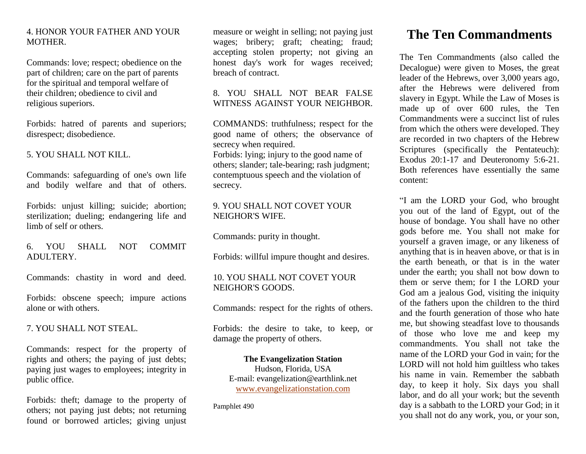### 4. HONOR YOUR FATHER AND YOUR MOTHER.

Commands: love; respect; obedience on the part of children; care on the part of parents for the spiritual and temporal welfare of their children; obedience to civil and religious superiors.

Forbids: hatred of parents and superiors; disrespect; disobedience.

### 5. YOU SHALL NOT KILL.

Commands: safeguarding of one's own life and bodily welfare and that of others.

Forbids: unjust killing; suicide; abortion; sterilization; dueling; endangering life and limb of self or others.

6. YOU SHALL NOT COMMIT ADULTERY.

Commands: chastity in word and deed.

Forbids: obscene speech; impure actions alone or with others.

7. YOU SHALL NOT STEAL.

Commands: respect for the property of rights and others; the paying of just debts; paying just wages to employees; integrity in public office.

Forbids: theft; damage to the property of others; not paying just debts; not returning found or borrowed articles; giving unjust measure or weight in selling; not paying just wages; bribery; graft; cheating; fraud; accepting stolen property; not giving an honest day's work for wages received; breach of contract.

## 8. YOU SHALL NOT BEAR FALSE WITNESS AGAINST YOUR NEIGHBOR.

COMMANDS: truthfulness; respect for the good name of others; the observance of secrecy when required.

Forbids: lying; injury to the good name of others; slander; tale-bearing; rash judgment; contemptuous speech and the violation of secrecy.

### 9. YOU SHALL NOT COVET YOUR NEIGHOR'S WIFE.

Commands: purity in thought.

Forbids: willful impure thought and desires.

## 10. YOU SHALL NOT COVET YOUR NEIGHOR'S GOODS.

Commands: respect for the rights of others.

Forbids: the desire to take, to keep, or damage the property of others.

**The Evangelization Station** Hudson, Florida, USA E-mail: evangelization@earthlink.net [www.evangelizationstation.com](http://www.pjpiisoe.org/)

Pamphlet 490

# **The Ten Commandments**

The Ten Commandments (also called the Decalogue) were given to Moses, the great leader of the Hebrews, over 3,000 years ago, after the Hebrews were delivered from slavery in Egypt. While the Law of Moses is made up of over 600 rules, the Ten Commandments were a succinct list of rules from which the others were developed. They are recorded in two chapters of the Hebrew Scriptures (specifically the Pentateuch): Exodus 20:1-17 and Deuteronomy 5:6-21. Both references have essentially the same content:

"I am the LORD your God, who brought you out of the land of Egypt, out of the house of bondage. You shall have no other gods before me. You shall not make for yourself a graven image, or any likeness of anything that is in heaven above, or that is in the earth beneath, or that is in the water under the earth; you shall not bow down to them or serve them; for I the LORD your God am a jealous God, visiting the iniquity of the fathers upon the children to the third and the fourth generation of those who hate me, but showing steadfast love to thousands of those who love me and keep my commandments. You shall not take the name of the LORD your God in vain; for the LORD will not hold him guiltless who takes his name in vain. Remember the sabbath day, to keep it holy. Six days you shall labor, and do all your work; but the seventh day is a sabbath to the LORD your God; in it you shall not do any work, you, or your son,